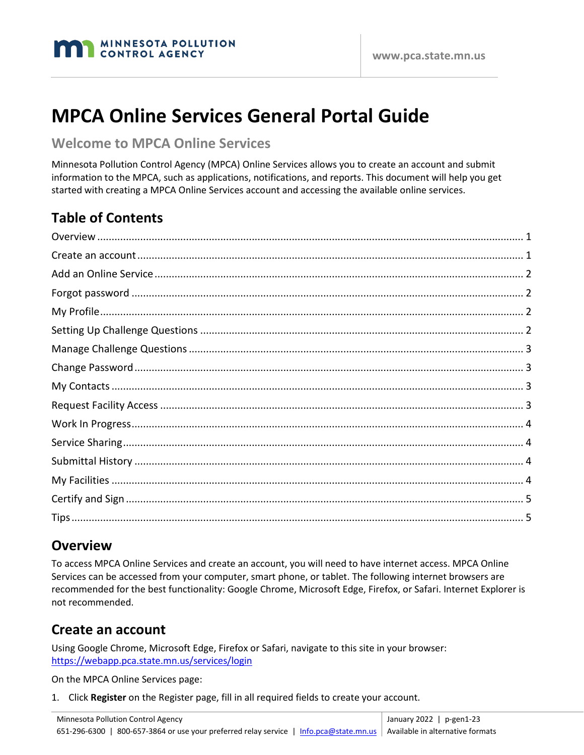

# **MPCA Online Services General Portal Guide**

#### **Welcome to MPCA Online Services**

Minnesota Pollution Control Agency (MPCA) Online Services allows you to create an account and submit information to the MPCA, such as applications, notifications, and reports. This document will help you get started with creating a MPCA Online Services account and accessing the available online services.

# **Table of Contents**

#### <span id="page-0-0"></span>**Overview**

To access MPCA Online Services and create an account, you will need to have internet access. MPCA Online Services can be accessed from your computer, smart phone, or tablet. The following internet browsers are recommended for the best functionality: Google Chrome, Microsoft Edge, Firefox, or Safari. Internet Explorer is not recommended.

#### <span id="page-0-1"></span>**Create an account**

Using Google Chrome, Microsoft Edge, Firefox or Safari, navigate to this site in your browser: <https://webapp.pca.state.mn.us/services/login>

On the MPCA Online Services page:

1. Click **Register** on the Register page, fill in all required fields to create your account.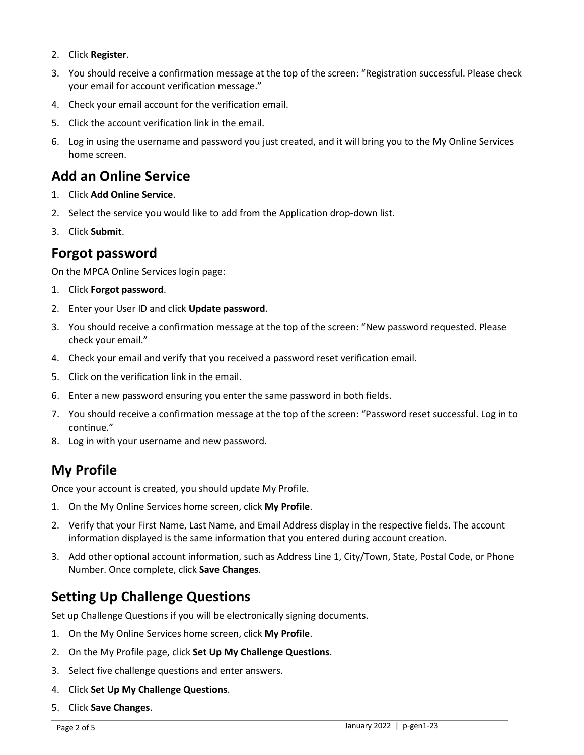- 2. Click **Register**.
- 3. You should receive a confirmation message at the top of the screen: "Registration successful. Please check your email for account verification message."
- 4. Check your email account for the verification email.
- 5. Click the account verification link in the email.
- 6. Log in using the username and password you just created, and it will bring you to the My Online Services home screen.

#### <span id="page-1-0"></span>**Add an Online Service**

- 1. Click **Add Online Service**.
- 2. Select the service you would like to add from the Application drop-down list.
- 3. Click **Submit**.

#### <span id="page-1-1"></span>**Forgot password**

On the MPCA Online Services login page:

- 1. Click **Forgot password**.
- 2. Enter your User ID and click **Update password**.
- 3. You should receive a confirmation message at the top of the screen: "New password requested. Please check your email."
- 4. Check your email and verify that you received a password reset verification email.
- 5. Click on the verification link in the email.
- 6. Enter a new password ensuring you enter the same password in both fields.
- 7. You should receive a confirmation message at the top of the screen: "Password reset successful. Log in to continue."
- 8. Log in with your username and new password.

# <span id="page-1-2"></span>**My Profile**

Once your account is created, you should update My Profile.

- 1. On the My Online Services home screen, click **My Profile**.
- 2. Verify that your First Name, Last Name, and Email Address display in the respective fields. The account information displayed is the same information that you entered during account creation.
- 3. Add other optional account information, such as Address Line 1, City/Town, State, Postal Code, or Phone Number. Once complete, click **Save Changes**.

### <span id="page-1-3"></span>**Setting Up Challenge Questions**

Set up Challenge Questions if you will be electronically signing documents.

- 1. On the My Online Services home screen, click **My Profile**.
- 2. On the My Profile page, click **Set Up My Challenge Questions**.
- 3. Select five challenge questions and enter answers.
- 4. Click **Set Up My Challenge Questions**.
- 5. Click **Save Changes**.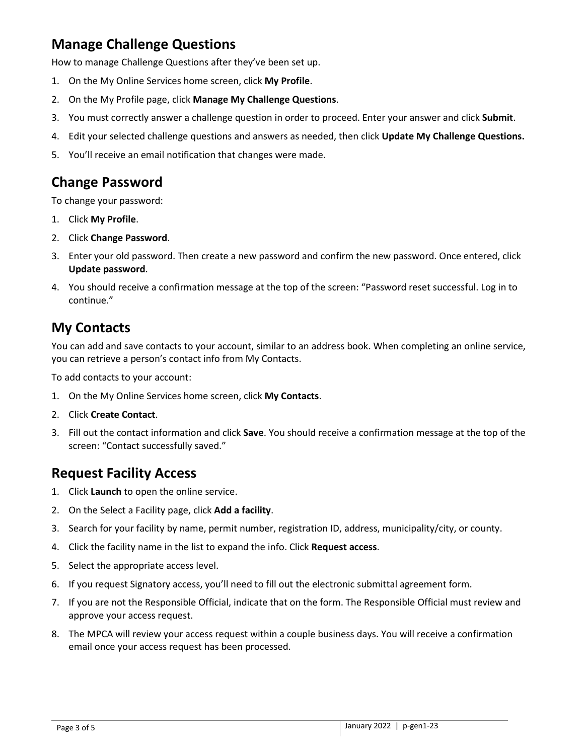# <span id="page-2-0"></span>**Manage Challenge Questions**

How to manage Challenge Questions after they've been set up.

- 1. On the My Online Services home screen, click **My Profile**.
- 2. On the My Profile page, click **Manage My Challenge Questions**.
- 3. You must correctly answer a challenge question in order to proceed. Enter your answer and click **Submit**.
- 4. Edit your selected challenge questions and answers as needed, then click **Update My Challenge Questions.**
- 5. You'll receive an email notification that changes were made.

#### <span id="page-2-1"></span>**Change Password**

To change your password:

- 1. Click **My Profile**.
- 2. Click **Change Password**.
- 3. Enter your old password. Then create a new password and confirm the new password. Once entered, click **Update password**.
- 4. You should receive a confirmation message at the top of the screen: "Password reset successful. Log in to continue."

#### <span id="page-2-2"></span>**My Contacts**

You can add and save contacts to your account, similar to an address book. When completing an online service, you can retrieve a person's contact info from My Contacts.

To add contacts to your account:

- 1. On the My Online Services home screen, click **My Contacts**.
- 2. Click **Create Contact**.
- 3. Fill out the contact information and click **Save**. You should receive a confirmation message at the top of the screen: "Contact successfully saved."

#### <span id="page-2-3"></span>**Request Facility Access**

- 1. Click **Launch** to open the online service.
- 2. On the Select a Facility page, click **Add a facility**.
- 3. Search for your facility by name, permit number, registration ID, address, municipality/city, or county.
- 4. Click the facility name in the list to expand the info. Click **Request access**.
- 5. Select the appropriate access level.
- 6. If you request Signatory access, you'll need to fill out the electronic submittal agreement form.
- 7. If you are not the Responsible Official, indicate that on the form. The Responsible Official must review and approve your access request.
- 8. The MPCA will review your access request within a couple business days. You will receive a confirmation email once your access request has been processed.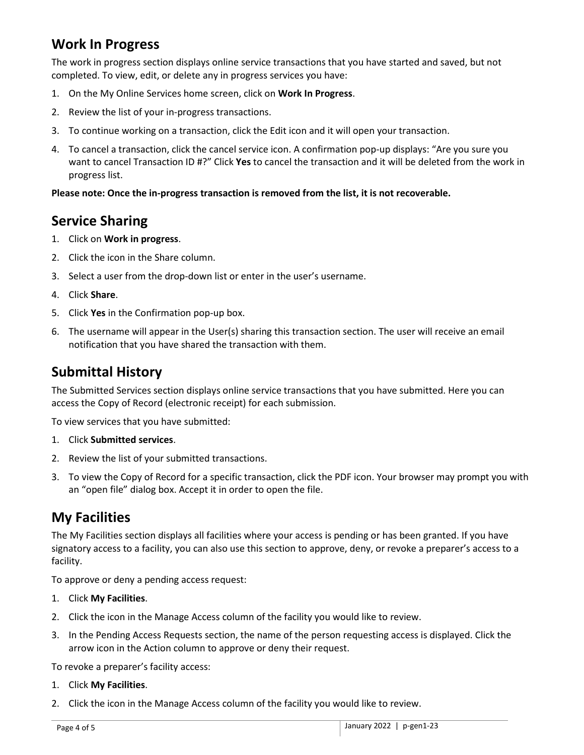# <span id="page-3-0"></span>**Work In Progress**

The work in progress section displays online service transactions that you have started and saved, but not completed. To view, edit, or delete any in progress services you have:

- 1. On the My Online Services home screen, click on **Work In Progress**.
- 2. Review the list of your in-progress transactions.
- 3. To continue working on a transaction, click the Edit icon and it will open your transaction.
- 4. To cancel a transaction, click the cancel service icon. A confirmation pop-up displays: "Are you sure you want to cancel Transaction ID #?" Click **Yes** to cancel the transaction and it will be deleted from the work in progress list.

#### **Please note: Once the in-progress transaction is removed from the list, it is not recoverable.**

#### <span id="page-3-1"></span>**Service Sharing**

- 1. Click on **Work in progress**.
- 2. Click the icon in the Share column.
- 3. Select a user from the drop-down list or enter in the user's username.
- 4. Click **Share**.
- 5. Click **Yes** in the Confirmation pop-up box.
- 6. The username will appear in the User(s) sharing this transaction section. The user will receive an email notification that you have shared the transaction with them.

#### <span id="page-3-2"></span>**Submittal History**

The Submitted Services section displays online service transactions that you have submitted. Here you can access the Copy of Record (electronic receipt) for each submission.

To view services that you have submitted:

- 1. Click **Submitted services**.
- 2. Review the list of your submitted transactions.
- 3. To view the Copy of Record for a specific transaction, click the PDF icon. Your browser may prompt you with an "open file" dialog box. Accept it in order to open the file.

### <span id="page-3-3"></span>**My Facilities**

The My Facilities section displays all facilities where your access is pending or has been granted. If you have signatory access to a facility, you can also use this section to approve, deny, or revoke a preparer's access to a facility.

To approve or deny a pending access request:

- 1. Click **My Facilities**.
- 2. Click the icon in the Manage Access column of the facility you would like to review.
- 3. In the Pending Access Requests section, the name of the person requesting access is displayed. Click the arrow icon in the Action column to approve or deny their request.

To revoke a preparer's facility access:

- 1. Click **My Facilities**.
- 2. Click the icon in the Manage Access column of the facility you would like to review.